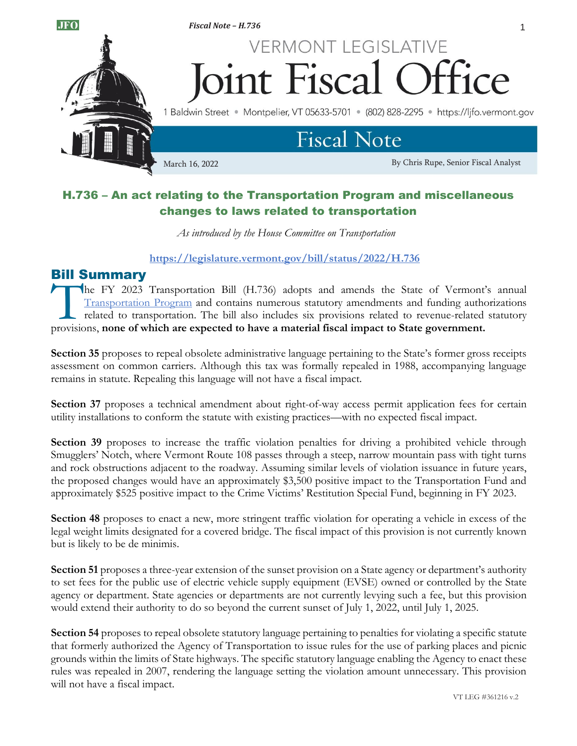

# H.736 – An act relating to the Transportation Program and miscellaneous changes to laws related to transportation

*As introduced by the House Committee on Transportation*

### **https://legislature.vermont.gov/bill/status/2022/H.736**

# Bill Summary

he FY 2023 Transportation Bill (H.736) adopts and amends the State of Vermont's annual [Transportation Program](https://vtrans.vermont.gov/about/capital-programs/2023) and contains numerous statutory amendments and funding authorizations related to transportation. The bill also includes six provisions related to revenue-related statutory The FY 2023 Transportation Bill (H.736) adopts and amends the State of Vermont<br>
Transportation Program and contains numerous statutory amendments and funding authorities<br>
related to transportation. The bill also includes s

**Section 35** proposes to repeal obsolete administrative language pertaining to the State's former gross receipts assessment on common carriers. Although this tax was formally repealed in 1988, accompanying language remains in statute. Repealing this language will not have a fiscal impact.

**Section 37** proposes a technical amendment about right-of-way access permit application fees for certain utility installations to conform the statute with existing practices—with no expected fiscal impact.

Section 39 proposes to increase the traffic violation penalties for driving a prohibited vehicle through Smugglers' Notch, where Vermont Route 108 passes through a steep, narrow mountain pass with tight turns and rock obstructions adjacent to the roadway. Assuming similar levels of violation issuance in future years, the proposed changes would have an approximately \$3,500 positive impact to the Transportation Fund and approximately \$525 positive impact to the Crime Victims' Restitution Special Fund, beginning in FY 2023.

**Section 48** proposes to enact a new, more stringent traffic violation for operating a vehicle in excess of the legal weight limits designated for a covered bridge. The fiscal impact of this provision is not currently known but is likely to be de minimis.

**Section 51** proposes a three-year extension of the sunset provision on a State agency or department's authority to set fees for the public use of electric vehicle supply equipment (EVSE) owned or controlled by the State agency or department. State agencies or departments are not currently levying such a fee, but this provision would extend their authority to do so beyond the current sunset of July 1, 2022, until July 1, 2025.

**Section 54** proposes to repeal obsolete statutory language pertaining to penalties for violating a specific statute that formerly authorized the Agency of Transportation to issue rules for the use of parking places and picnic grounds within the limits of State highways. The specific statutory language enabling the Agency to enact these rules was repealed in 2007, rendering the language setting the violation amount unnecessary. This provision will not have a fiscal impact.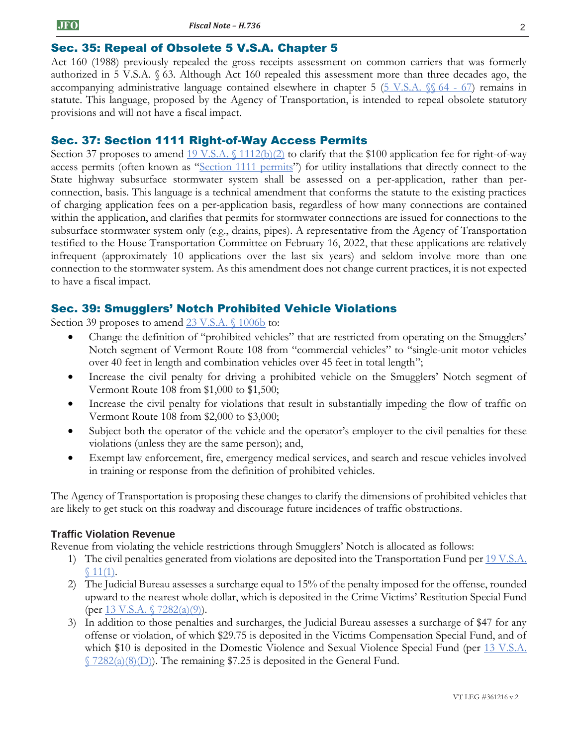# Sec. 35: Repeal of Obsolete 5 V.S.A. Chapter 5

Act 160 (1988) previously repealed the gross receipts assessment on common carriers that was formerly authorized in 5 V.S.A. § 63. Although Act 160 repealed this assessment more than three decades ago, the accompanying administrative language contained elsewhere in chapter 5 ( $5 \text{ V.S.A. }$  §§ 64 - 67) remains in statute. This language, proposed by the Agency of Transportation, is intended to repeal obsolete statutory provisions and will not have a fiscal impact.

# Sec. 37: Section 1111 Right-of-Way Access Permits

Section 37 proposes to amend  $19 \text{ V.S.A.} \{(1112(b)(2) \text{ to clarify that the $100 application fee for right-of-way})\}$ access permits (often known as "[Section 1111 permits](https://legislature.vermont.gov/statutes/section/19/011/01111)") for utility installations that directly connect to the State highway subsurface stormwater system shall be assessed on a per-application, rather than perconnection, basis. This language is a technical amendment that conforms the statute to the existing practices of charging application fees on a per-application basis, regardless of how many connections are contained within the application, and clarifies that permits for stormwater connections are issued for connections to the subsurface stormwater system only (e.g., drains, pipes). A representative from the Agency of Transportation testified to the House Transportation Committee on February 16, 2022, that these applications are relatively infrequent (approximately 10 applications over the last six years) and seldom involve more than one connection to the stormwater system. As this amendment does not change current practices, it is not expected to have a fiscal impact.

# Sec. 39: Smugglers' Notch Prohibited Vehicle Violations

Section 39 proposes to amend [23 V.S.A. §](https://legislature.vermont.gov/statutes/section/23/013/01006b) 1006b to:

- Change the definition of "prohibited vehicles" that are restricted from operating on the Smugglers' Notch segment of Vermont Route 108 from "commercial vehicles" to "single-unit motor vehicles over 40 feet in length and combination vehicles over 45 feet in total length";
- Increase the civil penalty for driving a prohibited vehicle on the Smugglers' Notch segment of Vermont Route 108 from \$1,000 to \$1,500;
- Increase the civil penalty for violations that result in substantially impeding the flow of traffic on Vermont Route 108 from \$2,000 to \$3,000;
- Subject both the operator of the vehicle and the operator's employer to the civil penalties for these violations (unless they are the same person); and,
- Exempt law enforcement, fire, emergency medical services, and search and rescue vehicles involved in training or response from the definition of prohibited vehicles.

The Agency of Transportation is proposing these changes to clarify the dimensions of prohibited vehicles that are likely to get stuck on this roadway and discourage future incidences of traffic obstructions.

#### **Traffic Violation Revenue**

Revenue from violating the vehicle restrictions through Smugglers' Notch is allocated as follows:

- 1) The civil penalties generated from violations are deposited into the Transportation Fund per  $19 \text{ V.S.A.}$  $$11(1).$  $$11(1).$
- 2) The Judicial Bureau assesses a surcharge equal to 15% of the penalty imposed for the offense, rounded upward to the nearest whole dollar, which is deposited in the Crime Victims' Restitution Special Fund (per 13 V.S.A.  $\binom{7282(a)(9)}{2}$ .
- 3) In addition to those penalties and surcharges, the Judicial Bureau assesses a surcharge of \$47 for any offense or violation, of which \$29.75 is deposited in the Victims Compensation Special Fund, and of which \$10 is deposited in the Domestic Violence and Sexual Violence Special Fund (per 13 V.S.A. § [7282\(a\)\(8\)\(D\)\)](https://legislature.vermont.gov/statutes/section/13/223/07282). The remaining \$7.25 is deposited in the General Fund.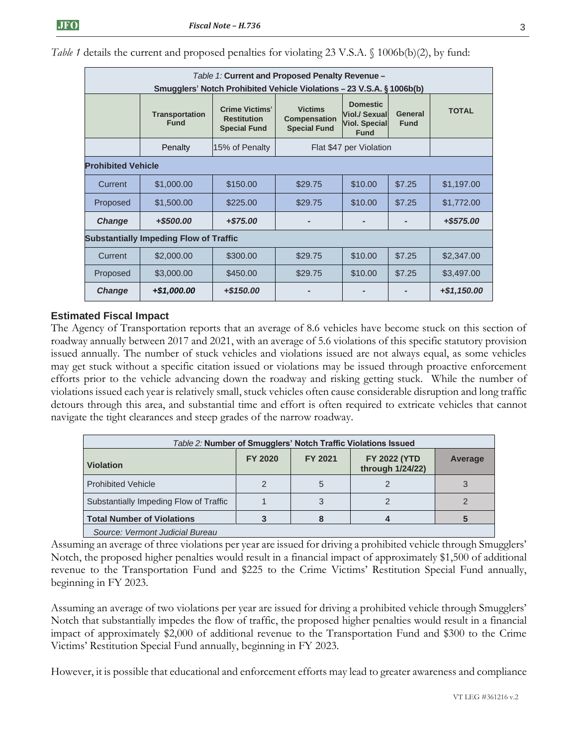| Table 1: Current and Proposed Penalty Revenue -<br>Smugglers' Notch Prohibited Vehicle Violations – 23 V.S.A. § 1006b(b) |                                      |                                                                    |                                                              |                                                                                |                        |              |  |  |  |
|--------------------------------------------------------------------------------------------------------------------------|--------------------------------------|--------------------------------------------------------------------|--------------------------------------------------------------|--------------------------------------------------------------------------------|------------------------|--------------|--|--|--|
|                                                                                                                          | <b>Transportation</b><br><b>Fund</b> | <b>Crime Victims'</b><br><b>Restitution</b><br><b>Special Fund</b> | <b>Victims</b><br><b>Compensation</b><br><b>Special Fund</b> | <b>Domestic</b><br><b>Viol./ Sexual</b><br><b>Viol. Special</b><br><b>Fund</b> | General<br><b>Fund</b> | <b>TOTAL</b> |  |  |  |
|                                                                                                                          | Penalty                              | 15% of Penalty                                                     | Flat \$47 per Violation                                      |                                                                                |                        |              |  |  |  |
| <b>Prohibited Vehicle</b>                                                                                                |                                      |                                                                    |                                                              |                                                                                |                        |              |  |  |  |
| Current                                                                                                                  | \$1,000.00                           | \$150.00                                                           | \$29.75                                                      | \$10.00                                                                        | \$7.25                 | \$1,197.00   |  |  |  |
| Proposed                                                                                                                 | \$1,500.00                           | \$225.00                                                           | \$29.75                                                      | \$10.00                                                                        | \$7.25                 | \$1,772.00   |  |  |  |
| <b>Change</b>                                                                                                            | +\$500.00                            | $+ $75.00$                                                         |                                                              |                                                                                |                        | +\$575.00    |  |  |  |
| <b>Substantially Impeding Flow of Traffic</b>                                                                            |                                      |                                                                    |                                                              |                                                                                |                        |              |  |  |  |
| Current                                                                                                                  | \$2,000.00                           | \$300.00                                                           | \$29.75                                                      | \$10.00                                                                        | \$7.25                 | \$2,347.00   |  |  |  |
| Proposed                                                                                                                 | \$3,000.00                           | \$450.00                                                           | \$29.75                                                      | \$10.00                                                                        | \$7.25                 | \$3,497.00   |  |  |  |
| <b>Change</b>                                                                                                            | +\$1,000.00                          | $+$ \$150.00                                                       |                                                              |                                                                                |                        | +\$1,150.00  |  |  |  |

*Table 1* details the current and proposed penalties for violating 23 V.S.A. § 1006b(b)(2), by fund:

### **Estimated Fiscal Impact**

The Agency of Transportation reports that an average of 8.6 vehicles have become stuck on this section of roadway annually between 2017 and 2021, with an average of 5.6 violations of this specific statutory provision issued annually. The number of stuck vehicles and violations issued are not always equal, as some vehicles may get stuck without a specific citation issued or violations may be issued through proactive enforcement efforts prior to the vehicle advancing down the roadway and risking getting stuck. While the number of violations issued each year is relatively small, stuck vehicles often cause considerable disruption and long traffic detours through this area, and substantial time and effort is often required to extricate vehicles that cannot navigate the tight clearances and steep grades of the narrow roadway.

| Table 2: Number of Smugglers' Notch Traffic Violations Issued |         |                |                                         |         |  |  |  |  |
|---------------------------------------------------------------|---------|----------------|-----------------------------------------|---------|--|--|--|--|
| <b>Violation</b>                                              | FY 2020 | <b>FY 2021</b> | <b>FY 2022 (YTD</b><br>through 1/24/22) | Average |  |  |  |  |
| <b>Prohibited Vehicle</b>                                     |         |                |                                         |         |  |  |  |  |
| Substantially Impeding Flow of Traffic                        |         |                |                                         |         |  |  |  |  |
| Total Number of Violations                                    |         |                |                                         |         |  |  |  |  |
| Source: Vermont Judicial Bureau                               |         |                |                                         |         |  |  |  |  |

Assuming an average of three violations per year are issued for driving a prohibited vehicle through Smugglers' Notch, the proposed higher penalties would result in a financial impact of approximately \$1,500 of additional revenue to the Transportation Fund and \$225 to the Crime Victims' Restitution Special Fund annually, beginning in FY 2023.

Assuming an average of two violations per year are issued for driving a prohibited vehicle through Smugglers' Notch that substantially impedes the flow of traffic, the proposed higher penalties would result in a financial impact of approximately \$2,000 of additional revenue to the Transportation Fund and \$300 to the Crime Victims' Restitution Special Fund annually, beginning in FY 2023.

However, it is possible that educational and enforcement efforts may lead to greater awareness and compliance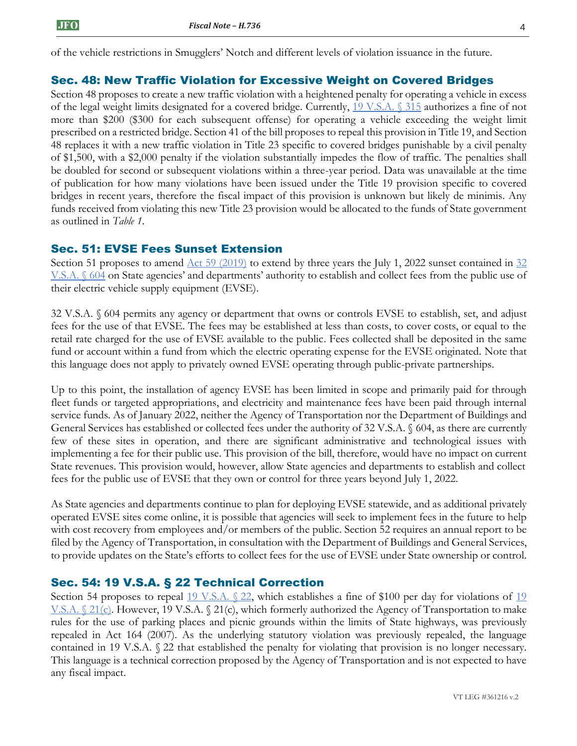of the vehicle restrictions in Smugglers' Notch and different levels of violation issuance in the future.

#### Sec. 48: New Traffic Violation for Excessive Weight on Covered Bridges

Section 48 proposes to create a new traffic violation with a heightened penalty for operating a vehicle in excess of the legal weight limits designated for a covered bridge. Currently, [19 V.S.A. §](https://legislature.vermont.gov/statutes/section/19/003/00315) 315 authorizes a fine of not more than \$200 (\$300 for each subsequent offense) for operating a vehicle exceeding the weight limit prescribed on a restricted bridge. Section 41 of the bill proposes to repeal this provision in Title 19, and Section 48 replaces it with a new traffic violation in Title 23 specific to covered bridges punishable by a civil penalty of \$1,500, with a \$2,000 penalty if the violation substantially impedes the flow of traffic. The penalties shall be doubled for second or subsequent violations within a three-year period. Data was unavailable at the time of publication for how many violations have been issued under the Title 19 provision specific to covered bridges in recent years, therefore the fiscal impact of this provision is unknown but likely de minimis. Any funds received from violating this new Title 23 provision would be allocated to the funds of State government as outlined in *Table 1*.

#### Sec. 51: EVSE Fees Sunset Extension

Section 51 proposes to amend  $\Delta ct$  59 (2019) to extend by three years the July 1, 2022 sunset contained in  $32$ [V.S.A. §](https://legislature.vermont.gov/statutes/section/32/007/00604) 604 on State agencies' and departments' authority to establish and collect fees from the public use of their electric vehicle supply equipment (EVSE).

32 V.S.A. § 604 permits any agency or department that owns or controls EVSE to establish, set, and adjust fees for the use of that EVSE. The fees may be established at less than costs, to cover costs, or equal to the retail rate charged for the use of EVSE available to the public. Fees collected shall be deposited in the same fund or account within a fund from which the electric operating expense for the EVSE originated. Note that this language does not apply to privately owned EVSE operating through public-private partnerships.

Up to this point, the installation of agency EVSE has been limited in scope and primarily paid for through fleet funds or targeted appropriations, and electricity and maintenance fees have been paid through internal service funds. As of January 2022, neither the Agency of Transportation nor the Department of Buildings and General Services has established or collected fees under the authority of 32 V.S.A. § 604, as there are currently few of these sites in operation, and there are significant administrative and technological issues with implementing a fee for their public use. This provision of the bill, therefore, would have no impact on current State revenues. This provision would, however, allow State agencies and departments to establish and collect fees for the public use of EVSE that they own or control for three years beyond July 1, 2022.

As State agencies and departments continue to plan for deploying EVSE statewide, and as additional privately operated EVSE sites come online, it is possible that agencies will seek to implement fees in the future to help with cost recovery from employees and/or members of the public. Section 52 requires an annual report to be filed by the Agency of Transportation, in consultation with the Department of Buildings and General Services, to provide updates on the State's efforts to collect fees for the use of EVSE under State ownership or control.

#### Sec. 54: 19 V.S.A. § 22 Technical Correction

Section 54 proposes to repeal  $\underline{19 \text{ V.S.A. } \S 22}$ , which establishes a fine of \$100 per day for violations of  $\underline{19}$ V.S.A.  $\&$  21(c). However, 19 V.S.A.  $\&$  21(c), which formerly authorized the Agency of Transportation to make rules for the use of parking places and picnic grounds within the limits of State highways, was previously repealed in Act 164 (2007). As the underlying statutory violation was previously repealed, the language contained in 19 V.S.A. § 22 that established the penalty for violating that provision is no longer necessary. This language is a technical correction proposed by the Agency of Transportation and is not expected to have any fiscal impact.